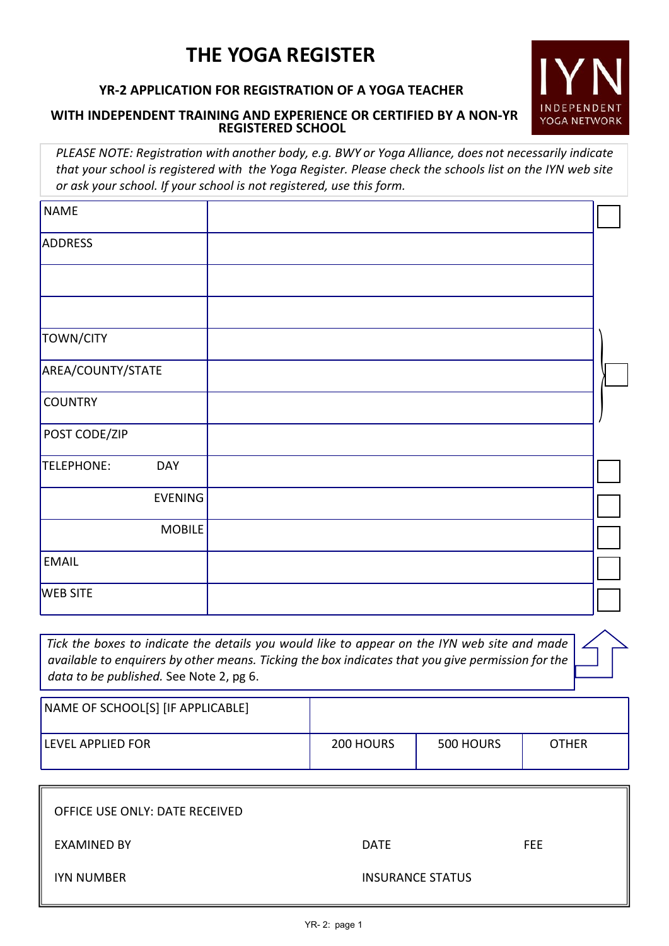# **THE YOGA REGISTER**

## **YR-2 APPLICATION FOR REGISTRATION OF A YOGA TEACHER**

#### **WITH INDEPENDENT TRAINING AND EXPERIENCE OR CERTIFIED BY A NON-YR REGISTERED SCHOOL**

*PLEASE NOTE: Registra�on with another body, e.g. BWY or Yoga Alliance, does not necessarily indicate that your school is registered with the Yoga Register. Please check the schools list on the IYN web site or ask your school. If your school is not registered, use this form.*

| <b>NAME</b>              |  |
|--------------------------|--|
| ADDRESS                  |  |
|                          |  |
|                          |  |
| TOWN/CITY                |  |
| AREA/COUNTY/STATE        |  |
| <b>COUNTRY</b>           |  |
| POST CODE/ZIP            |  |
| TELEPHONE:<br><b>DAY</b> |  |
| <b>EVENING</b>           |  |
| MOBILE                   |  |
| <b>EMAIL</b>             |  |
| <b>WEB SITE</b>          |  |

*Tick the boxes to indicate the details you would like to appear on the IYN web site and made available to enquirers by other means. Ticking the box indicates that you give permission for the data to be published.* See Note 2, pg 6.

| NAME OF SCHOOL[S] [IF APPLICABLE] |           |           |              |
|-----------------------------------|-----------|-----------|--------------|
| LEVEL APPLIED FOR                 | 200 HOURS | 500 HOURS | <b>OTHER</b> |

| OFFICE USE ONLY: DATE RECEIVED |                         |     |
|--------------------------------|-------------------------|-----|
| EXAMINED BY                    | <b>DATE</b>             | FEE |
| <b>IYN NUMBER</b>              | <b>INSURANCE STATUS</b> |     |

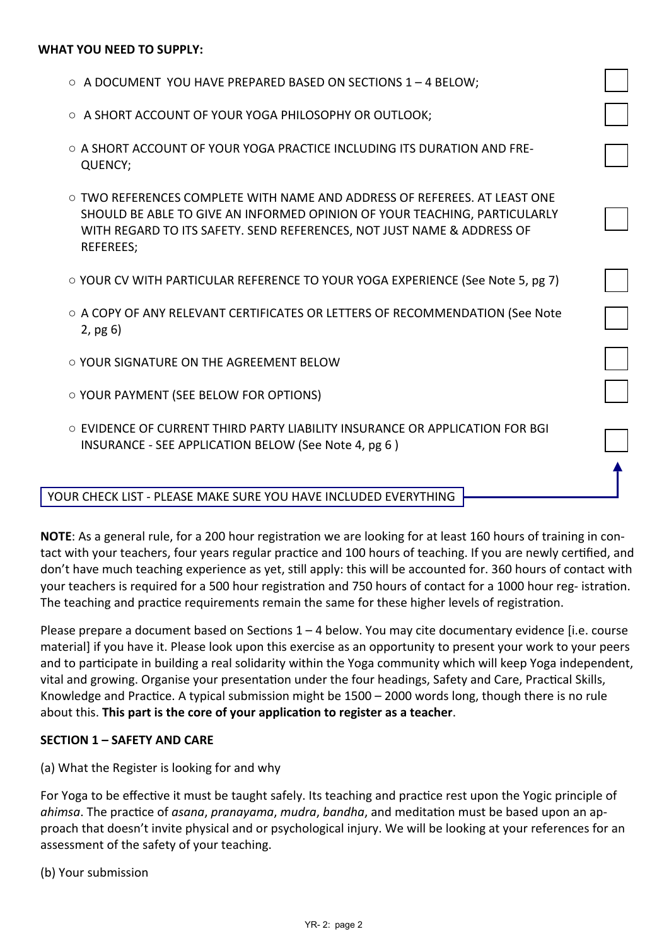#### **WHAT YOU NEED TO SUPPLY:**

- $\circ$  A DOCUMENT YOU HAVE PREPARED BASED ON SECTIONS 1 4 BELOW;
- A SHORT ACCOUNT OF YOUR YOGA PHILOSOPHY OR OUTLOOK;
- $\circ$  A SHORT ACCOUNT OF YOUR YOGA PRACTICE INCLUDING ITS DURATION AND FRE-QUENCY;
- TWO REFERENCES COMPLETE WITH NAME AND ADDRESS OF REFEREES. AT LEAST ONE SHOULD BE ABLE TO GIVE AN INFORMED OPINION OF YOUR TEACHING, PARTICULARLY WITH REGARD TO ITS SAFETY. SEND REFERENCES, NOT JUST NAME & ADDRESS OF REFEREES;
- YOUR CV WITH PARTICULAR REFERENCE TO YOUR YOGA EXPERIENCE (See Note 5, pg 7)
- A COPY OF ANY RELEVANT CERTIFICATES OR LETTERS OF RECOMMENDATION (See Note 2, pg 6)
- YOUR SIGNATURE ON THE AGREEMENT BELOW
- YOUR PAYMENT (SEE BELOW FOR OPTIONS)
- EVIDENCE OF CURRENT THIRD PARTY LIABILITY INSURANCE OR APPLICATION FOR BGI INSURANCE - SEE APPLICATION BELOW (See Note 4, pg 6 )

#### YOUR CHECK LIST - PLEASE MAKE SURE YOU HAVE INCLUDED EVERYTHING

**NOTE:** As a general rule, for a 200 hour registration we are looking for at least 160 hours of training in contact with your teachers, four years regular practice and 100 hours of teaching. If you are newly certified, and don't have much teaching experience as yet, still apply: this will be accounted for. 360 hours of contact with your teachers is required for a 500 hour registration and 750 hours of contact for a 1000 hour reg- istration. The teaching and practice requirements remain the same for these higher levels of registration.

Please prepare a document based on Sections  $1 - 4$  below. You may cite documentary evidence [i.e. course material] if you have it. Please look upon this exercise as an opportunity to present your work to your peers and to participate in building a real solidarity within the Yoga community which will keep Yoga independent, vital and growing. Organise your presentation under the four headings, Safety and Care, Practical Skills, Knowledge and Prac�ce. A typical submission might be 1500 – 2000 words long, though there is no rule about this. This part is the core of your application to register as a teacher.

#### **SECTION 1 – SAFETY AND CARE**

(a) What the Register is looking for and why

For Yoga to be effective it must be taught safely. Its teaching and practice rest upon the Yogic principle of *ahimsa*. The prac�ce of *asana*, *pranayama*, *mudra*, *bandha*, and medita�on must be based upon an approach that doesn't invite physical and or psychological injury. We will be looking at your references for an assessment of the safety of your teaching.

(b) Your submission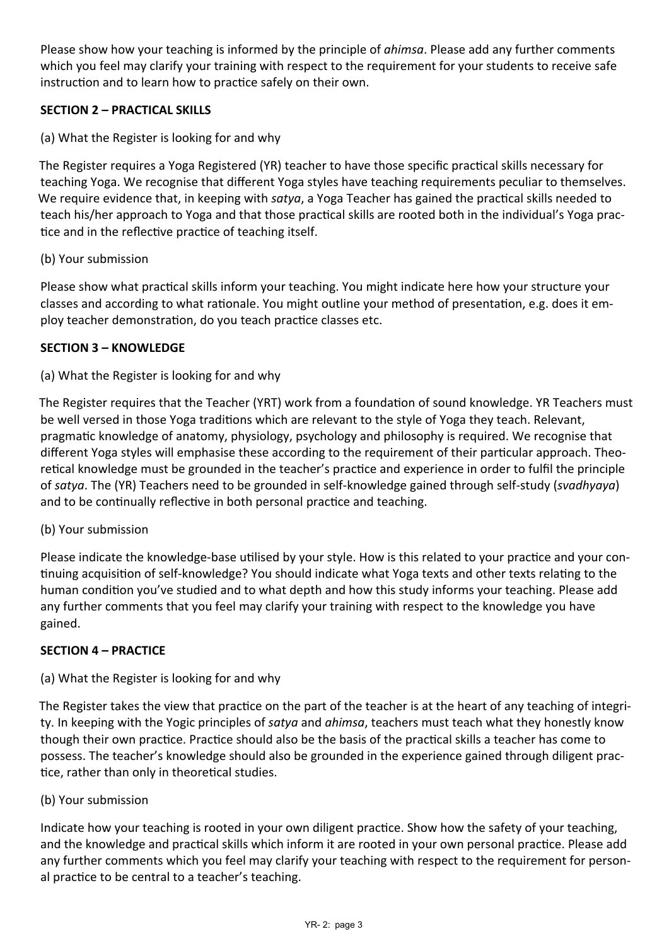Please show how your teaching is informed by the principle of *ahimsa*. Please add any further comments which you feel may clarify your training with respect to the requirement for your students to receive safe instruction and to learn how to practice safely on their own.

### **SECTION 2 – PRACTICAL SKILLS**

(a) What the Register is looking for and why

The Register requires a Yoga Registered (YR) teacher to have those specific practical skills necessary for teaching Yoga. We recognise that different Yoga styles have teaching requirements peculiar to themselves. We require evidence that, in keeping with *satya*, a Yoga Teacher has gained the practical skills needed to teach his/her approach to Yoga and that those practical skills are rooted both in the individual's Yoga practice and in the reflective practice of teaching itself.

#### (b) Your submission

Please show what prac�cal skills inform your teaching. You might indicate here how your structure your classes and according to what rationale. You might outline your method of presentation, e.g. does it employ teacher demonstration, do you teach practice classes etc.

#### **SECTION 3 – KNOWLEDGE**

(a) What the Register is looking for and why

The Register requires that the Teacher (YRT) work from a foundation of sound knowledge. YR Teachers must be well versed in those Yoga traditions which are relevant to the style of Yoga they teach. Relevant, pragmatic knowledge of anatomy, physiology, psychology and philosophy is required. We recognise that different Yoga styles will emphasise these according to the requirement of their par�cular approach. Theoretical knowledge must be grounded in the teacher's practice and experience in order to fulfil the principle of *satya*. The (YR) Teachers need to be grounded in self-knowledge gained through self-study (*svadhyaya*) and to be continually reflective in both personal practice and teaching.

### (b) Your submission

Please indicate the knowledge-base utilised by your style. How is this related to your practice and your continuing acquisition of self-knowledge? You should indicate what Yoga texts and other texts relating to the human condition you've studied and to what depth and how this study informs your teaching. Please add any further comments that you feel may clarify your training with respect to the knowledge you have gained.

#### **SECTION 4 – PRACTICE**

### (a) What the Register is looking for and why

The Register takes the view that practice on the part of the teacher is at the heart of any teaching of integrity. In keeping with the Yogic principles of *satya* and *ahimsa*, teachers must teach what they honestly know though their own prac�ce. Prac�ce should also be the basis of the prac�cal skills a teacher has come to possess. The teacher's knowledge should also be grounded in the experience gained through diligent prac tice, rather than only in theoretical studies.

#### (b) Your submission

Indicate how your teaching is rooted in your own diligent practice. Show how the safety of your teaching, and the knowledge and practical skills which inform it are rooted in your own personal practice. Please add any further comments which you feel may clarify your teaching with respect to the requirement for personal practice to be central to a teacher's teaching.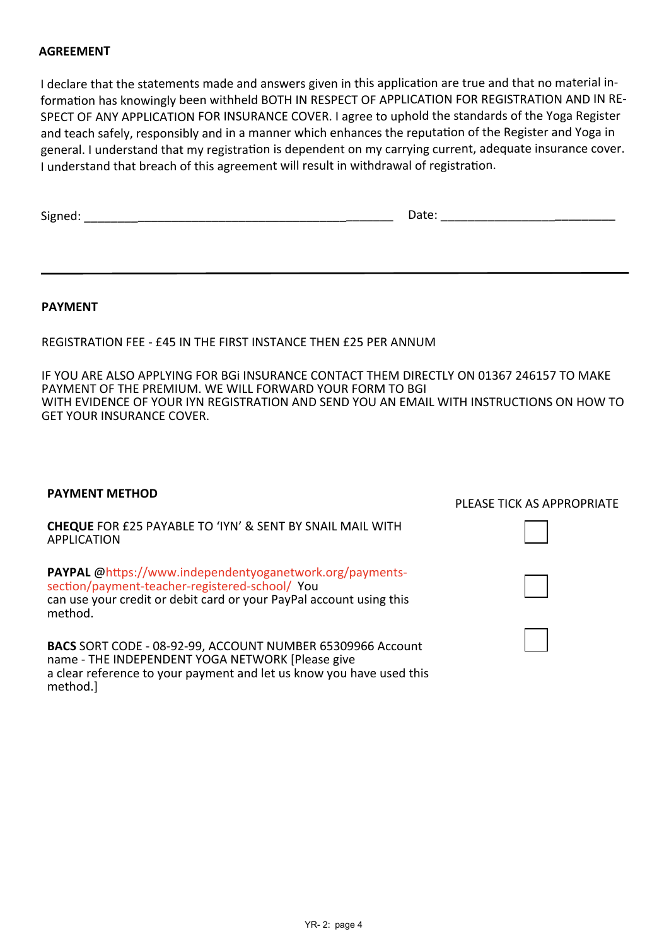#### **AGREEMENT**

I declare that the statements made and answers given in this application are true and that no material information has knowingly been withheld BOTH IN RESPECT OF APPLICATION FOR REGISTRATION AND IN RE-SPECT OF ANY APPLICATION FOR INSURANCE COVER. <sup>I</sup> agree to uphold the standards of the Yoga Register and teach safely, responsibly and in a manner which enhances the reputation of the Register and Yoga in general. I understand that my registration is dependent on my carrying current, adequate insurance cover. I understand that breach of this agreement will result in withdrawal of registration.

| Signed: | Date: |
|---------|-------|
|         |       |

#### **PAYMENT**

REGISTRATION FEE - £45 IN THE FIRST INSTANCE THEN £25 PER ANNUM

IF YOU ARE ALSO APPLYING FOR BGi INSURANCE CONTACT THEM DIRECTLY ON 01367 246157 TO MAKE PAYMENT OF THE PREMIUM. WE WILL FORWARD YOUR FORM TO BGI WITH EVIDENCE OF YOUR IYN REGISTRATION AND SEND YOU AN EMAIL WITH INSTRUCTIONS ON HOW TO GET YOUR INSURANCE COVER.

# **PAYMENT METHOD CHEQUE** FOR £25 PAYABLE TO 'IYN' & SENT BY SNAIL MAIL WITH APPLICATION **PAYPAL** @https://www.independentyoganetwork.org/paymentssection/payment-teacher-registered-school/ You can use your credit or debit card or your PayPal account using this method. **BACS** SORT CODE - 08-92-99, ACCOUNT NUMBER 65309966 Account name - THE INDEPENDENT YOGA NETWORK [Please give a clear reference to your payment and let us know you have used this method.] PLEASE TICK AS APPROPRIATE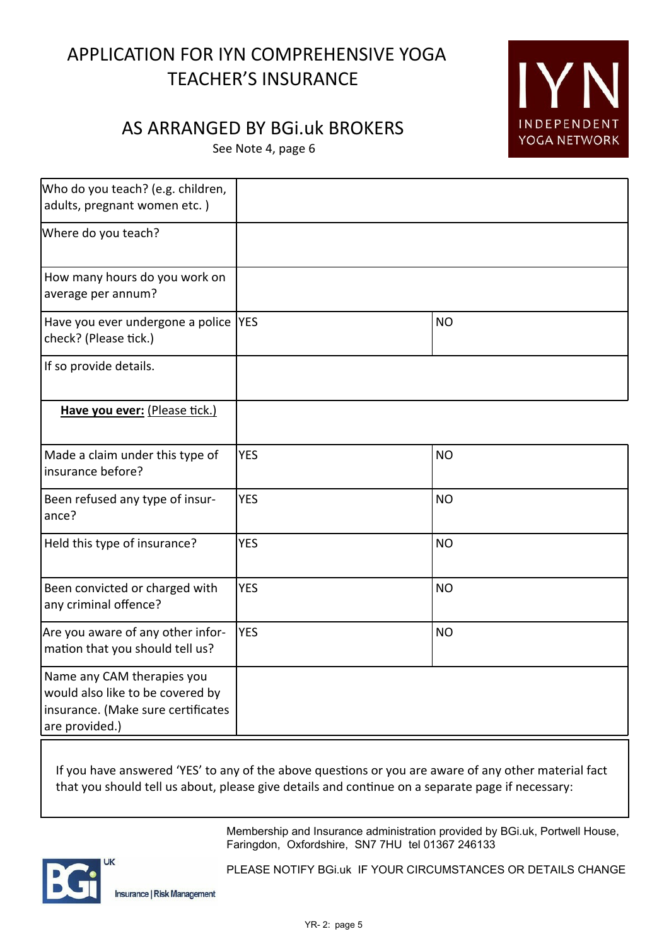# APPLICATION FOR IYN COMPREHENSIVE YOGA TEACHER'S INSURANCE

# AS ARRANGED BY BGi.uk BROKERS

See Note 4, page 6

| Who do you teach? (e.g. children,<br>adults, pregnant women etc.)                                                      |            |           |
|------------------------------------------------------------------------------------------------------------------------|------------|-----------|
| Where do you teach?                                                                                                    |            |           |
| How many hours do you work on<br>average per annum?                                                                    |            |           |
| Have you ever undergone a police  YES<br>check? (Please tick.)                                                         |            | <b>NO</b> |
| If so provide details.                                                                                                 |            |           |
| Have you ever: (Please tick.)                                                                                          |            |           |
| Made a claim under this type of<br>insurance before?                                                                   | <b>YES</b> | <b>NO</b> |
| Been refused any type of insur-<br>ance?                                                                               | <b>YES</b> | <b>NO</b> |
| Held this type of insurance?                                                                                           | <b>YES</b> | <b>NO</b> |
| Been convicted or charged with<br>any criminal offence?                                                                | <b>YES</b> | <b>NO</b> |
| Are you aware of any other infor-<br>mation that you should tell us?                                                   | <b>YES</b> | <b>NO</b> |
| Name any CAM therapies you<br>would also like to be covered by<br>insurance. (Make sure certificates<br>are provided.) |            |           |

If you have answered 'YES' to any of the above questions or you are aware of any other material fact that you should tell us about, please give details and continue on a separate page if necessary:

> Membership and Insurance administration provided by BGi.uk, Portwell House, Faringdon, Oxfordshire, SN7 7HU tel 01367 246133

IYN

INDEPENDENT YOGA NETWORK



PLEASE NOTIFY BGi.uk IF YOUR CIRCUMSTANCES OR DETAILS CHANGE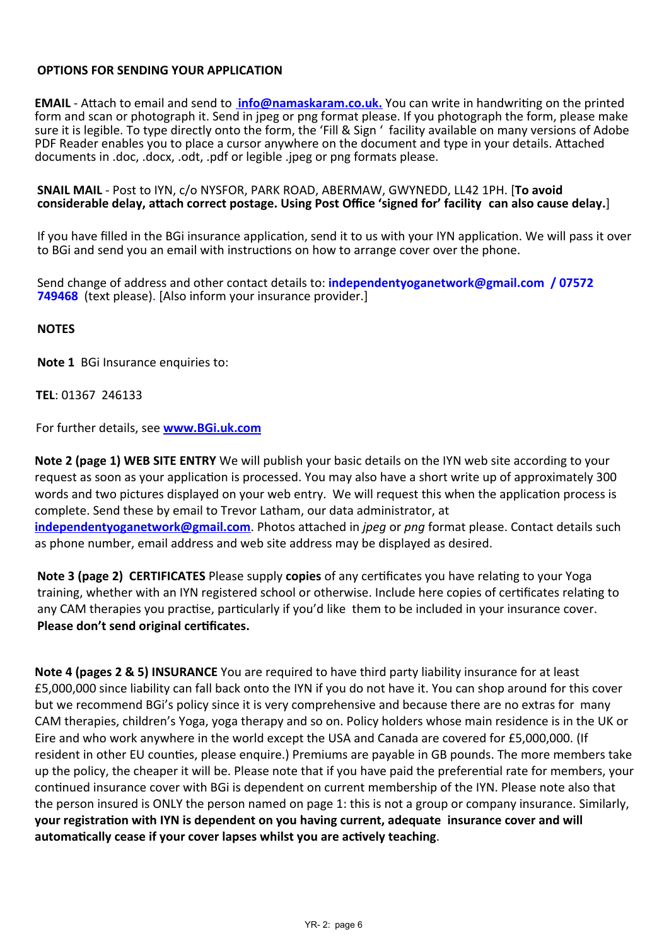#### **OPTIONS FOR SENDING YOUR APPLICATION**

**EMAIL** - Attach to email and send to **info@namaskaram.co.uk.** You can write in handwriting on the printed form and scan or photograph it. Send in jpeg or png format please. If you photograph the form, please make sure it is legible. To type directly onto the form, the 'Fill & Sign ' facility available on many versions of Adobe PDF Reader enables you to place a cursor anywhere on the document and type in your details. Attached documents in .doc, .docx, .odt, .pdf or legible .jpeg or png formats please.

#### **SNAIL MAIL** - Post to IYN, c/o NYSFOR, PARK ROAD, ABERMAW, GWYNEDD, LL42 1PH. [**To avoid** considerable delay, attach correct postage. Using Post Office 'signed for' facility can also cause delay.

If you have filled in the BGi insurance application, send it to us with your IYN application. We will pass it over to BGi and send you an email with instructions on how to arrange cover over the phone.

Send change of address and other contact details to: **independentyoganetwork@gmail.com / 07572 749468** (text please). [Also inform your insurance provider.]

#### **NOTES**

**Note 1** BGi Insurance enquiries to:

#### **TEL**: 01367 246133

For further details, see **www.BGi.uk.com**

**Note 2 (page 1) WEB SITE ENTRY** We will publish your basic details on the IYN web site according to your request as soon as your application is processed. You may also have a short write up of approximately 300 words and two pictures displayed on your web entry. We will request this when the application process is complete. Send these by email to Trevor Latham, our data administrator, at **independentyoganetwork@gmail.com.** Photos attached in *jpeg* or *png* format please. Contact details such as phone number, email address and web site address may be displayed as desired.

**Note 3 (page 2) CERTIFICATES** Please supply **copies** of any certificates you have relating to your Yoga training, whether with an IYN registered school or otherwise. Include here copies of certificates relating to any CAM therapies you practise, particularly if you'd like them to be included in your insurance cover. **Please don't send original cer�ficates.**

**Note 4 (pages 2 & 5) INSURANCE** You are required to have third party liability insurance for at least £5,000,000 since liability can fall back onto the IYN if you do not have it. You can shop around for this cover but we recommend BGi's policy since it is very comprehensive and because there are no extras for many CAM therapies, children's Yoga, yoga therapy and so on. Policy holders whose main residence is in the UK or Eire and who work anywhere in the world except the USA and Canada are covered for £5,000,000. (If resident in other EU counties, please enquire.) Premiums are payable in GB pounds. The more members take up the policy, the cheaper it will be. Please note that if you have paid the preferen�al rate for members, your continued insurance cover with BGi is dependent on current membership of the IYN. Please note also that the person insured is ONLY the person named on page 1: this is not a group or company insurance. Similarly, **your registration with IYN is dependent on you having current, adequate insurance cover and will** automatically cease if your cover lapses whilst you are actively teaching.